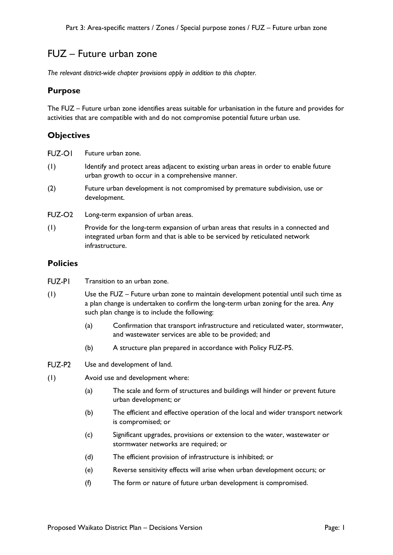# FUZ – Future urban zone

*The relevant district-wide chapter provisions apply in addition to this chapter.* 

#### **Purpose**

The FUZ – Future urban zone identifies areas suitable for urbanisation in the future and provides for activities that are compatible with and do not compromise potential future urban use.

## **Objectives**

| <b>FUZ-OI</b>      | Future urban zone.                                                                                                                                                                    |
|--------------------|---------------------------------------------------------------------------------------------------------------------------------------------------------------------------------------|
| (1)                | Identify and protect areas adjacent to existing urban areas in order to enable future<br>urban growth to occur in a comprehensive manner.                                             |
| (2)                | Future urban development is not compromised by premature subdivision, use or<br>development.                                                                                          |
| FUZ-O <sub>2</sub> | Long-term expansion of urban areas.                                                                                                                                                   |
| (1)                | Provide for the long-term expansion of urban areas that results in a connected and<br>integrated urban form and that is able to be serviced by reticulated network<br>infrastructure. |

## **Policies**

- **FUZ-PI** Transition to an urban zone.
- (1) Use the FUZ Future urban zone to maintain development potential until such time as a plan change is undertaken to confirm the long-term urban zoning for the area. Any such plan change is to include the following:
	- (a) Confirmation that transport infrastructure and reticulated water, stormwater, and wastewater services are able to be provided; and
	- (b) A structure plan prepared in accordance with Policy FUZ-P5.
- FUZ-P2 Use and development of land.
- (1) Avoid use and development where:
	- (a) The scale and form of structures and buildings will hinder or prevent future urban development; or
	- (b) The efficient and effective operation of the local and wider transport network is compromised; or
	- (c) Significant upgrades, provisions or extension to the water, wastewater or stormwater networks are required; or
	- (d) The efficient provision of infrastructure is inhibited; or
	- (e) Reverse sensitivity effects will arise when urban development occurs; or
	- (f) The form or nature of future urban development is compromised.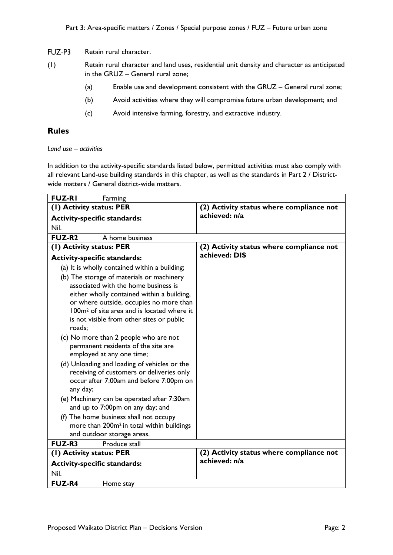#### FUZ-P3 Retain rural character.

- (1) Retain rural character and land uses, residential unit density and character as anticipated in the GRUZ – General rural zone;
	- (a) Enable use and development consistent with the GRUZ General rural zone;
	- (b) Avoid activities where they will compromise future urban development; and
	- (c) Avoid intensive farming, forestry, and extractive industry.

## **Rules**

#### *Land use – activities*

In addition to the activity-specific standards listed below, permitted activities must also comply with all relevant Land-use building standards in this chapter, as well as the standards in Part 2 / Districtwide matters / General district-wide matters.

| <b>FUZ-RI</b>                       | Farming                                                                                         |                                          |
|-------------------------------------|-------------------------------------------------------------------------------------------------|------------------------------------------|
| (I) Activity status: PER            |                                                                                                 | (2) Activity status where compliance not |
| <b>Activity-specific standards:</b> |                                                                                                 | achieved: n/a                            |
| Nil.                                |                                                                                                 |                                          |
| <b>FUZ-R2</b>                       | A home business                                                                                 |                                          |
| (1) Activity status: PER            |                                                                                                 | (2) Activity status where compliance not |
| <b>Activity-specific standards:</b> |                                                                                                 | achieved: DIS                            |
|                                     | (a) It is wholly contained within a building;                                                   |                                          |
|                                     | (b) The storage of materials or machinery                                                       |                                          |
|                                     | associated with the home business is                                                            |                                          |
|                                     | either wholly contained within a building,                                                      |                                          |
|                                     | or where outside, occupies no more than                                                         |                                          |
|                                     | 100m <sup>2</sup> of site area and is located where it                                          |                                          |
|                                     | is not visible from other sites or public                                                       |                                          |
| roads;                              |                                                                                                 |                                          |
|                                     | (c) No more than 2 people who are not                                                           |                                          |
|                                     | permanent residents of the site are                                                             |                                          |
|                                     | employed at any one time;                                                                       |                                          |
|                                     | (d) Unloading and loading of vehicles or the                                                    |                                          |
|                                     | receiving of customers or deliveries only                                                       |                                          |
|                                     | occur after 7:00am and before 7:00pm on                                                         |                                          |
| any day;                            |                                                                                                 |                                          |
|                                     | (e) Machinery can be operated after 7:30am<br>and up to 7:00pm on any day; and                  |                                          |
|                                     |                                                                                                 |                                          |
|                                     | (f) The home business shall not occupy<br>more than 200m <sup>2</sup> in total within buildings |                                          |
|                                     | and outdoor storage areas.                                                                      |                                          |
| <b>FUZ-R3</b>                       | Produce stall                                                                                   |                                          |
| (I) Activity status: PER            |                                                                                                 | (2) Activity status where compliance not |
| <b>Activity-specific standards:</b> |                                                                                                 | achieved: n/a                            |
| Nil.                                |                                                                                                 |                                          |
| <b>FUZ-R4</b>                       | Home stay                                                                                       |                                          |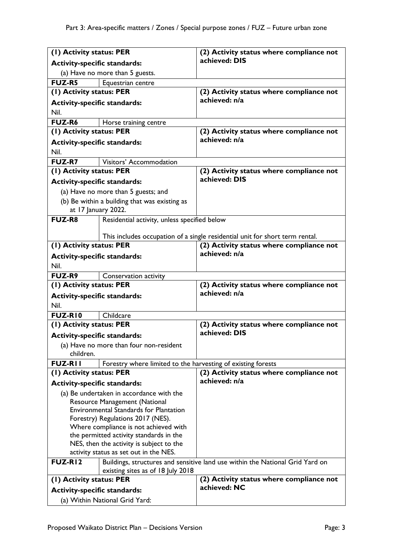| (1) Activity status: PER            |                                                                      | (2) Activity status where compliance not                                      |
|-------------------------------------|----------------------------------------------------------------------|-------------------------------------------------------------------------------|
| <b>Activity-specific standards:</b> |                                                                      | achieved: DIS                                                                 |
|                                     | (a) Have no more than 5 guests.                                      |                                                                               |
| <b>FUZ-R5</b>                       | Equestrian centre                                                    |                                                                               |
| (1) Activity status: PER            |                                                                      | (2) Activity status where compliance not                                      |
| <b>Activity-specific standards:</b> |                                                                      | achieved: n/a                                                                 |
| Nil.                                |                                                                      |                                                                               |
| <b>FUZ-R6</b>                       | Horse training centre                                                |                                                                               |
| (1) Activity status: PER            |                                                                      | (2) Activity status where compliance not                                      |
| <b>Activity-specific standards:</b> |                                                                      | achieved: n/a                                                                 |
| Nil.                                |                                                                      |                                                                               |
| <b>FUZ-R7</b>                       | Visitors' Accommodation                                              |                                                                               |
| (I) Activity status: PER            |                                                                      | (2) Activity status where compliance not                                      |
|                                     |                                                                      | achieved: DIS                                                                 |
| <b>Activity-specific standards:</b> |                                                                      |                                                                               |
|                                     | (a) Have no more than 5 guests; and                                  |                                                                               |
|                                     | (b) Be within a building that was existing as<br>at 17 January 2022. |                                                                               |
| <b>FUZ-R8</b>                       | Residential activity, unless specified below                         |                                                                               |
|                                     |                                                                      |                                                                               |
|                                     |                                                                      | This includes occupation of a single residential unit for short term rental.  |
| (1) Activity status: PER            |                                                                      | (2) Activity status where compliance not                                      |
| <b>Activity-specific standards:</b> |                                                                      | achieved: n/a                                                                 |
| Nil.                                |                                                                      |                                                                               |
| <b>FUZ-R9</b>                       | <b>Conservation activity</b>                                         |                                                                               |
| (1) Activity status: PER            |                                                                      | (2) Activity status where compliance not                                      |
| <b>Activity-specific standards:</b> |                                                                      | achieved: n/a                                                                 |
| Nil.                                |                                                                      |                                                                               |
| <b>FUZ-RIO</b>                      | Childcare                                                            |                                                                               |
| (1) Activity status: PER            |                                                                      | (2) Activity status where compliance not                                      |
| <b>Activity-specific standards:</b> |                                                                      | achieved: DIS                                                                 |
|                                     | (a) Have no more than four non-resident                              |                                                                               |
| children.                           |                                                                      |                                                                               |
| <b>FUZ-RII</b>                      | Forestry where limited to the harvesting of existing forests         |                                                                               |
| (1) Activity status: PER            |                                                                      | (2) Activity status where compliance not                                      |
| <b>Activity-specific standards:</b> |                                                                      | achieved: n/a                                                                 |
|                                     | (a) Be undertaken in accordance with the                             |                                                                               |
|                                     | Resource Management (National                                        |                                                                               |
|                                     | <b>Environmental Standards for Plantation</b>                        |                                                                               |
|                                     | Forestry) Regulations 2017 (NES).                                    |                                                                               |
|                                     | Where compliance is not achieved with                                |                                                                               |
|                                     | the permitted activity standards in the                              |                                                                               |
|                                     | NES, then the activity is subject to the                             |                                                                               |
|                                     | activity status as set out in the NES.                               |                                                                               |
| <b>FUZ-RI2</b>                      |                                                                      | Buildings, structures and sensitive land use within the National Grid Yard on |
| (1) Activity status: PER            | existing sites as of 18 July 2018                                    | (2) Activity status where compliance not                                      |
|                                     |                                                                      | achieved: NC                                                                  |
| <b>Activity-specific standards:</b> |                                                                      |                                                                               |
|                                     | (a) Within National Grid Yard:                                       |                                                                               |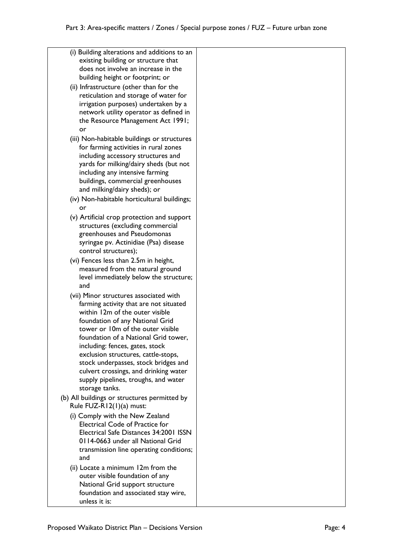| (i) Building alterations and additions to an<br>existing building or structure that |  |
|-------------------------------------------------------------------------------------|--|
| does not involve an increase in the                                                 |  |
| building height or footprint; or                                                    |  |
| (ii) Infrastructure (other than for the                                             |  |
| reticulation and storage of water for                                               |  |
| irrigation purposes) undertaken by a                                                |  |
| network utility operator as defined in                                              |  |
| the Resource Management Act 1991;                                                   |  |
| or                                                                                  |  |
| (iii) Non-habitable buildings or structures                                         |  |
| for farming activities in rural zones<br>including accessory structures and         |  |
| yards for milking/dairy sheds (but not                                              |  |
| including any intensive farming                                                     |  |
| buildings, commercial greenhouses                                                   |  |
| and milking/dairy sheds); or                                                        |  |
| (iv) Non-habitable horticultural buildings;                                         |  |
| or                                                                                  |  |
| (v) Artificial crop protection and support                                          |  |
| structures (excluding commercial                                                    |  |
| greenhouses and Pseudomonas                                                         |  |
| syringae pv. Actinidiae (Psa) disease<br>control structures);                       |  |
| (vi) Fences less than 2.5m in height,                                               |  |
| measured from the natural ground                                                    |  |
| level immediately below the structure;                                              |  |
| and                                                                                 |  |
| (vii) Minor structures associated with                                              |  |
| farming activity that are not situated                                              |  |
| within 12m of the outer visible                                                     |  |
| foundation of any National Grid                                                     |  |
| tower or 10m of the outer visible                                                   |  |
| foundation of a National Grid tower,                                                |  |
| including: fences, gates, stock<br>exclusion structures, cattle-stops,              |  |
| stock underpasses, stock bridges and                                                |  |
| culvert crossings, and drinking water                                               |  |
| supply pipelines, troughs, and water                                                |  |
| storage tanks.                                                                      |  |
| (b) All buildings or structures permitted by<br>Rule FUZ-R12(1)(a) must:            |  |
| (i) Comply with the New Zealand                                                     |  |
| <b>Electrical Code of Practice for</b>                                              |  |
| Electrical Safe Distances 34:2001 ISSN                                              |  |
| 0114-0663 under all National Grid                                                   |  |
| transmission line operating conditions;                                             |  |
| and                                                                                 |  |
| (ii) Locate a minimum 12m from the                                                  |  |
| outer visible foundation of any                                                     |  |
| National Grid support structure<br>foundation and associated stay wire,             |  |
| unless it is:                                                                       |  |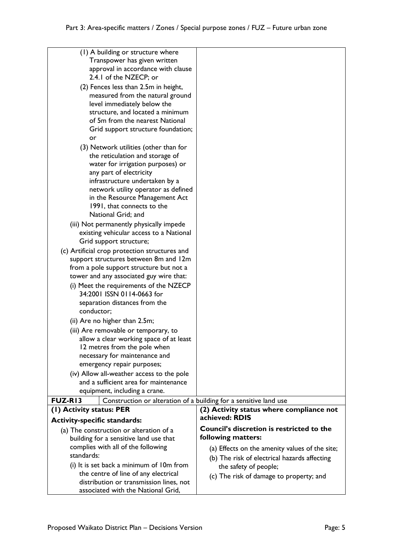| (1) A building or structure where<br>Transpower has given written<br>approval in accordance with clause                                                                                                                                                                                                                                            |                                                                                                                         |
|----------------------------------------------------------------------------------------------------------------------------------------------------------------------------------------------------------------------------------------------------------------------------------------------------------------------------------------------------|-------------------------------------------------------------------------------------------------------------------------|
| 2.4.1 of the NZECP; or<br>(2) Fences less than 2.5m in height,<br>measured from the natural ground<br>level immediately below the<br>structure, and located a minimum<br>of 5m from the nearest National<br>Grid support structure foundation;<br>or                                                                                               |                                                                                                                         |
| (3) Network utilities (other than for<br>the reticulation and storage of<br>water for irrigation purposes) or<br>any part of electricity<br>infrastructure undertaken by a<br>network utility operator as defined<br>in the Resource Management Act<br>1991, that connects to the<br>National Grid; and<br>(iii) Not permanently physically impede |                                                                                                                         |
| existing vehicular access to a National<br>Grid support structure;<br>(c) Artificial crop protection structures and<br>support structures between 8m and 12m<br>from a pole support structure but not a                                                                                                                                            |                                                                                                                         |
| tower and any associated guy wire that:<br>(i) Meet the requirements of the NZECP<br>34:2001 ISSN 0114-0663 for<br>separation distances from the<br>conductor;                                                                                                                                                                                     |                                                                                                                         |
| (ii) Are no higher than 2.5m;<br>(iii) Are removable or temporary, to<br>allow a clear working space of at least<br>12 metres from the pole when<br>necessary for maintenance and<br>emergency repair purposes;                                                                                                                                    |                                                                                                                         |
| (iv) Allow all-weather access to the pole<br>and a sufficient area for maintenance<br>equipment, including a crane.                                                                                                                                                                                                                                |                                                                                                                         |
| <b>FUZ-RI3</b><br>Construction or alteration of a building for a sensitive land use                                                                                                                                                                                                                                                                |                                                                                                                         |
| (1) Activity status: PER                                                                                                                                                                                                                                                                                                                           | (2) Activity status where compliance not                                                                                |
| <b>Activity-specific standards:</b>                                                                                                                                                                                                                                                                                                                | achieved: RDIS                                                                                                          |
| (a) The construction or alteration of a<br>building for a sensitive land use that                                                                                                                                                                                                                                                                  | <b>Council's discretion is restricted to the</b><br>following matters:                                                  |
| complies with all of the following<br>standards:<br>(i) It is set back a minimum of 10m from<br>the centre of line of any electrical                                                                                                                                                                                                               | (a) Effects on the amenity values of the site;<br>(b) The risk of electrical hazards affecting<br>the safety of people; |
| distribution or transmission lines, not<br>associated with the National Grid,                                                                                                                                                                                                                                                                      | (c) The risk of damage to property; and                                                                                 |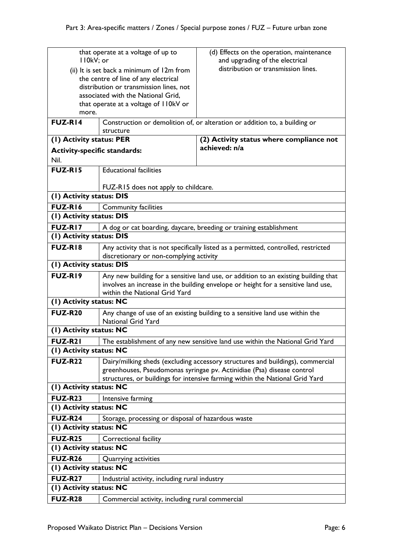| II0kV; or                           | that operate at a voltage of up to                 | (d) Effects on the operation, maintenance<br>and upgrading of the electrical                                                                                             |
|-------------------------------------|----------------------------------------------------|--------------------------------------------------------------------------------------------------------------------------------------------------------------------------|
|                                     | (ii) It is set back a minimum of 12m from          | distribution or transmission lines.                                                                                                                                      |
|                                     | the centre of line of any electrical               |                                                                                                                                                                          |
|                                     | distribution or transmission lines, not            |                                                                                                                                                                          |
|                                     | associated with the National Grid,                 |                                                                                                                                                                          |
|                                     | that operate at a voltage of II0kV or              |                                                                                                                                                                          |
| more.                               |                                                    |                                                                                                                                                                          |
| <b>FUZ-RI4</b>                      |                                                    | Construction or demolition of, or alteration or addition to, a building or                                                                                               |
| (1) Activity status: PER            | structure                                          | (2) Activity status where compliance not                                                                                                                                 |
| <b>Activity-specific standards:</b> |                                                    | achieved: n/a                                                                                                                                                            |
| Nil.                                |                                                    |                                                                                                                                                                          |
| <b>FUZ-RI5</b>                      | <b>Educational facilities</b>                      |                                                                                                                                                                          |
|                                     | FUZ-R15 does not apply to childcare.               |                                                                                                                                                                          |
| (I) Activity status: DIS            |                                                    |                                                                                                                                                                          |
| FUZ-RI6                             | <b>Community facilities</b>                        |                                                                                                                                                                          |
| (I) Activity status: DIS            |                                                    |                                                                                                                                                                          |
| <b>FUZ-RI7</b>                      |                                                    | A dog or cat boarding, daycare, breeding or training establishment                                                                                                       |
| (I) Activity status: DIS            |                                                    |                                                                                                                                                                          |
| <b>FUZ-RI8</b>                      | discretionary or non-complying activity            | Any activity that is not specifically listed as a permitted, controlled, restricted                                                                                      |
| (I) Activity status: DIS            |                                                    |                                                                                                                                                                          |
| FUZ-RI9                             | within the National Grid Yard                      | Any new building for a sensitive land use, or addition to an existing building that<br>involves an increase in the building envelope or height for a sensitive land use, |
| (I) Activity status: NC             |                                                    |                                                                                                                                                                          |
| <b>FUZ-R20</b>                      | <b>National Grid Yard</b>                          | Any change of use of an existing building to a sensitive land use within the                                                                                             |
| (I) Activity status: NC             |                                                    |                                                                                                                                                                          |
| <b>FUZ-R21</b>                      |                                                    | The establishment of any new sensitive land use within the National Grid Yard                                                                                            |
| (I) Activity status: NC             |                                                    |                                                                                                                                                                          |
| <b>FUZ-R22</b>                      |                                                    | Dairy/milking sheds (excluding accessory structures and buildings), commercial                                                                                           |
|                                     |                                                    | greenhouses, Pseudomonas syringae pv. Actinidiae (Psa) disease control                                                                                                   |
|                                     |                                                    | structures, or buildings for intensive farming within the National Grid Yard                                                                                             |
| (I) Activity status: NC             |                                                    |                                                                                                                                                                          |
| <b>FUZ-R23</b>                      | Intensive farming                                  |                                                                                                                                                                          |
| (1) Activity status: NC             |                                                    |                                                                                                                                                                          |
| <b>FUZ-R24</b>                      | Storage, processing or disposal of hazardous waste |                                                                                                                                                                          |
| (I) Activity status: NC             |                                                    |                                                                                                                                                                          |
| <b>FUZ-R25</b>                      | Correctional facility                              |                                                                                                                                                                          |
| (I) Activity status: NC             |                                                    |                                                                                                                                                                          |
| <b>FUZ-R26</b>                      | Quarrying activities                               |                                                                                                                                                                          |
| (I) Activity status: NC             |                                                    |                                                                                                                                                                          |
| <b>FUZ-R27</b>                      | Industrial activity, including rural industry      |                                                                                                                                                                          |
| (I) Activity status: NC             |                                                    |                                                                                                                                                                          |
| <b>FUZ-R28</b>                      | Commercial activity, including rural commercial    |                                                                                                                                                                          |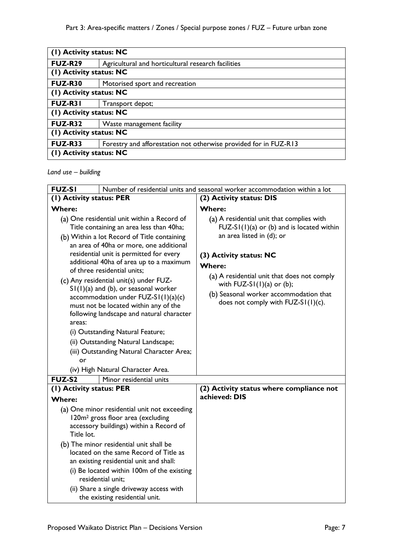| (1) Activity status: NC |                                                                  |
|-------------------------|------------------------------------------------------------------|
| <b>FUZ-R29</b>          | Agricultural and horticultural research facilities               |
| (1) Activity status: NC |                                                                  |
| <b>FUZ-R30</b>          | Motorised sport and recreation                                   |
| (1) Activity status: NC |                                                                  |
| <b>FUZ-R31</b>          | Transport depot;                                                 |
| (1) Activity status: NC |                                                                  |
| <b>FUZ-R32</b>          | Waste management facility                                        |
| (1) Activity status: NC |                                                                  |
| <b>FUZ-R33</b>          | Forestry and afforestation not otherwise provided for in FUZ-R13 |
| (1) Activity status: NC |                                                                  |

*Land use – building*

| <b>FUZ-SI</b>            |                                                                                                                                                                                                                                                                                                                                                                                                                                                                                                                                                                                                                                                                                        | Number of residential units and seasonal worker accommodation within a lot                                                                                                                                                                                                                                                         |
|--------------------------|----------------------------------------------------------------------------------------------------------------------------------------------------------------------------------------------------------------------------------------------------------------------------------------------------------------------------------------------------------------------------------------------------------------------------------------------------------------------------------------------------------------------------------------------------------------------------------------------------------------------------------------------------------------------------------------|------------------------------------------------------------------------------------------------------------------------------------------------------------------------------------------------------------------------------------------------------------------------------------------------------------------------------------|
| (I) Activity status: PER |                                                                                                                                                                                                                                                                                                                                                                                                                                                                                                                                                                                                                                                                                        | (2) Activity status: DIS                                                                                                                                                                                                                                                                                                           |
| <b>Where:</b>            |                                                                                                                                                                                                                                                                                                                                                                                                                                                                                                                                                                                                                                                                                        | <b>Where:</b>                                                                                                                                                                                                                                                                                                                      |
| areas:<br>or             | (a) One residential unit within a Record of<br>Title containing an area less than 40ha;<br>(b) Within a lot Record of Title containing<br>an area of 40ha or more, one additional<br>residential unit is permitted for every<br>additional 40ha of area up to a maximum<br>of three residential units;<br>(c) Any residential unit(s) under FUZ-<br>$SI(1)(a)$ and (b), or seasonal worker<br>accommodation under $FUZ-SI(1)(a)(c)$<br>must not be located within any of the<br>following landscape and natural character<br>(i) Outstanding Natural Feature;<br>(ii) Outstanding Natural Landscape;<br>(iii) Outstanding Natural Character Area;<br>(iv) High Natural Character Area. | (a) A residential unit that complies with<br>$FUZ-SI(1)(a)$ or (b) and is located within<br>an area listed in (d); or<br>(3) Activity status: NC<br><b>Where:</b><br>(a) A residential unit that does not comply<br>with $FUZ-SI(1)(a)$ or (b);<br>(b) Seasonal worker accommodation that<br>does not comply with $FUZ-SI(1)(c)$ . |
| <b>FUZ-S2</b>            | Minor residential units                                                                                                                                                                                                                                                                                                                                                                                                                                                                                                                                                                                                                                                                |                                                                                                                                                                                                                                                                                                                                    |
| (1) Activity status: PER |                                                                                                                                                                                                                                                                                                                                                                                                                                                                                                                                                                                                                                                                                        | (2) Activity status where compliance not                                                                                                                                                                                                                                                                                           |
| <b>Where:</b>            |                                                                                                                                                                                                                                                                                                                                                                                                                                                                                                                                                                                                                                                                                        | achieved: DIS                                                                                                                                                                                                                                                                                                                      |
| Title lot.               | (a) One minor residential unit not exceeding<br>120m <sup>2</sup> gross floor area (excluding<br>accessory buildings) within a Record of                                                                                                                                                                                                                                                                                                                                                                                                                                                                                                                                               |                                                                                                                                                                                                                                                                                                                                    |
|                          | (b) The minor residential unit shall be<br>located on the same Record of Title as<br>an existing residential unit and shall:                                                                                                                                                                                                                                                                                                                                                                                                                                                                                                                                                           |                                                                                                                                                                                                                                                                                                                                    |
|                          | (i) Be located within 100m of the existing<br>residential unit:                                                                                                                                                                                                                                                                                                                                                                                                                                                                                                                                                                                                                        |                                                                                                                                                                                                                                                                                                                                    |
|                          | (ii) Share a single driveway access with<br>the existing residential unit.                                                                                                                                                                                                                                                                                                                                                                                                                                                                                                                                                                                                             |                                                                                                                                                                                                                                                                                                                                    |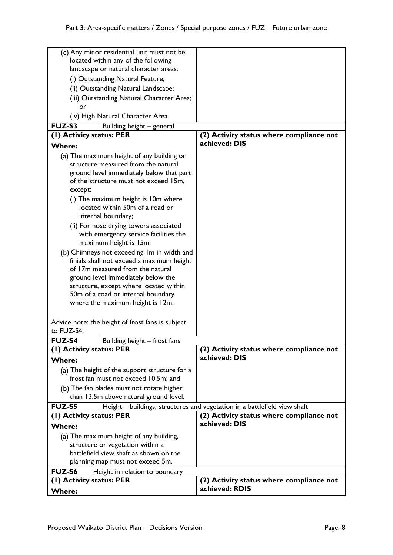|               | (c) Any minor residential unit must not be                                            |                                                                           |
|---------------|---------------------------------------------------------------------------------------|---------------------------------------------------------------------------|
|               | located within any of the following                                                   |                                                                           |
|               | landscape or natural character areas:                                                 |                                                                           |
|               | (i) Outstanding Natural Feature;                                                      |                                                                           |
|               |                                                                                       |                                                                           |
|               | (ii) Outstanding Natural Landscape;                                                   |                                                                           |
|               | (iii) Outstanding Natural Character Area;                                             |                                                                           |
| or            |                                                                                       |                                                                           |
|               | (iv) High Natural Character Area.                                                     |                                                                           |
| <b>FUZ-S3</b> | Building height - general                                                             |                                                                           |
|               | (I) Activity status: PER                                                              | (2) Activity status where compliance not                                  |
| <b>Where:</b> |                                                                                       | achieved: DIS                                                             |
|               | (a) The maximum height of any building or                                             |                                                                           |
|               | structure measured from the natural                                                   |                                                                           |
|               | ground level immediately below that part                                              |                                                                           |
|               | of the structure must not exceed 15m,                                                 |                                                                           |
| except:       |                                                                                       |                                                                           |
|               | (i) The maximum height is 10m where                                                   |                                                                           |
|               | located within 50m of a road or                                                       |                                                                           |
|               | internal boundary;                                                                    |                                                                           |
|               | (ii) For hose drying towers associated                                                |                                                                           |
|               | with emergency service facilities the                                                 |                                                                           |
|               | maximum height is 15m.                                                                |                                                                           |
|               | (b) Chimneys not exceeding Im in width and                                            |                                                                           |
|               | finials shall not exceed a maximum height                                             |                                                                           |
|               | of 17m measured from the natural                                                      |                                                                           |
|               | ground level immediately below the                                                    |                                                                           |
|               | structure, except where located within                                                |                                                                           |
|               | 50m of a road or internal boundary                                                    |                                                                           |
|               | where the maximum height is 12m.                                                      |                                                                           |
|               |                                                                                       |                                                                           |
|               | Advice note: the height of frost fans is subject                                      |                                                                           |
| to FUZ-S4.    |                                                                                       |                                                                           |
| <b>FUZ-S4</b> | Building height – frost fans                                                          |                                                                           |
|               | (1) Activity status: PER                                                              | (2) Activity status where compliance not                                  |
| <b>Where:</b> |                                                                                       | achieved: DIS                                                             |
|               |                                                                                       |                                                                           |
|               | (a) The height of the support structure for a<br>frost fan must not exceed 10.5m; and |                                                                           |
|               |                                                                                       |                                                                           |
|               | (b) The fan blades must not rotate higher                                             |                                                                           |
|               | than 13.5m above natural ground level.                                                |                                                                           |
| <b>FUZ-S5</b> |                                                                                       | Height - buildings, structures and vegetation in a battlefield view shaft |
|               | (I) Activity status: PER                                                              | (2) Activity status where compliance not                                  |
| Where:        |                                                                                       | achieved: DIS                                                             |
|               | (a) The maximum height of any building,                                               |                                                                           |
|               | structure or vegetation within a                                                      |                                                                           |
|               | battlefield view shaft as shown on the                                                |                                                                           |
|               | planning map must not exceed 5m.                                                      |                                                                           |
| FUZ-S6        | Height in relation to boundary                                                        |                                                                           |
|               | (1) Activity status: PER                                                              | (2) Activity status where compliance not                                  |
| Where:        |                                                                                       | achieved: RDIS                                                            |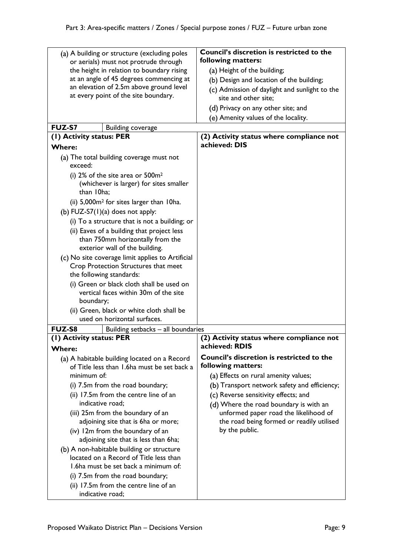| (a) A building or structure (excluding poles<br>or aerials) must not protrude through<br>the height in relation to boundary rising<br>at an angle of 45 degrees commencing at<br>an elevation of 2.5m above ground level<br>at every point of the site boundary. | Council's discretion is restricted to the<br>following matters:<br>(a) Height of the building;<br>(b) Design and location of the building;<br>(c) Admission of daylight and sunlight to the |
|------------------------------------------------------------------------------------------------------------------------------------------------------------------------------------------------------------------------------------------------------------------|---------------------------------------------------------------------------------------------------------------------------------------------------------------------------------------------|
|                                                                                                                                                                                                                                                                  | site and other site;<br>(d) Privacy on any other site; and<br>(e) Amenity values of the locality.                                                                                           |
| <b>FUZ-S7</b><br><b>Building coverage</b>                                                                                                                                                                                                                        |                                                                                                                                                                                             |
| (1) Activity status: PER                                                                                                                                                                                                                                         | (2) Activity status where compliance not                                                                                                                                                    |
| <b>Where:</b>                                                                                                                                                                                                                                                    | achieved: DIS                                                                                                                                                                               |
| (a) The total building coverage must not                                                                                                                                                                                                                         |                                                                                                                                                                                             |
| exceed:                                                                                                                                                                                                                                                          |                                                                                                                                                                                             |
| (i) $2\%$ of the site area or $500m^2$                                                                                                                                                                                                                           |                                                                                                                                                                                             |
| (whichever is larger) for sites smaller<br>than 10ha;                                                                                                                                                                                                            |                                                                                                                                                                                             |
| (ii) 5,000m <sup>2</sup> for sites larger than 10ha.                                                                                                                                                                                                             |                                                                                                                                                                                             |
| (b) $FUZ-S7(1)(a)$ does not apply:                                                                                                                                                                                                                               |                                                                                                                                                                                             |
| (i) To a structure that is not a building; or                                                                                                                                                                                                                    |                                                                                                                                                                                             |
| (ii) Eaves of a building that project less                                                                                                                                                                                                                       |                                                                                                                                                                                             |
| than 750mm horizontally from the<br>exterior wall of the building.                                                                                                                                                                                               |                                                                                                                                                                                             |
| (c) No site coverage limit applies to Artificial<br>Crop Protection Structures that meet<br>the following standards:                                                                                                                                             |                                                                                                                                                                                             |
| (i) Green or black cloth shall be used on<br>vertical faces within 30m of the site<br>boundary;                                                                                                                                                                  |                                                                                                                                                                                             |
| (ii) Green, black or white cloth shall be                                                                                                                                                                                                                        |                                                                                                                                                                                             |
| used on horizontal surfaces.                                                                                                                                                                                                                                     |                                                                                                                                                                                             |
| <b>FUZ-S8</b><br>Building setbacks - all boundaries                                                                                                                                                                                                              |                                                                                                                                                                                             |
| (1) Activity status: PER                                                                                                                                                                                                                                         | (2) Activity status where compliance not                                                                                                                                                    |
| <b>Where:</b>                                                                                                                                                                                                                                                    | achieved: RDIS                                                                                                                                                                              |
| (a) A habitable building located on a Record                                                                                                                                                                                                                     | Council's discretion is restricted to the                                                                                                                                                   |
| of Title less than 1.6ha must be set back a                                                                                                                                                                                                                      | following matters:                                                                                                                                                                          |
| minimum of:                                                                                                                                                                                                                                                      | (a) Effects on rural amenity values;                                                                                                                                                        |
| (i) 7.5m from the road boundary;                                                                                                                                                                                                                                 | (b) Transport network safety and efficiency;                                                                                                                                                |
| (ii) 17.5m from the centre line of an                                                                                                                                                                                                                            | (c) Reverse sensitivity effects; and                                                                                                                                                        |
| indicative road;                                                                                                                                                                                                                                                 | (d) Where the road boundary is with an                                                                                                                                                      |
| (iii) 25m from the boundary of an                                                                                                                                                                                                                                | unformed paper road the likelihood of                                                                                                                                                       |
| adjoining site that is 6ha or more;                                                                                                                                                                                                                              | the road being formed or readily utilised                                                                                                                                                   |
| (iv) 12m from the boundary of an                                                                                                                                                                                                                                 | by the public.                                                                                                                                                                              |
| adjoining site that is less than 6ha;                                                                                                                                                                                                                            |                                                                                                                                                                                             |
| (b) A non-habitable building or structure                                                                                                                                                                                                                        |                                                                                                                                                                                             |
| located on a Record of Title less than                                                                                                                                                                                                                           |                                                                                                                                                                                             |
| 1.6ha must be set back a minimum of:                                                                                                                                                                                                                             |                                                                                                                                                                                             |
| (i) 7.5m from the road boundary;                                                                                                                                                                                                                                 |                                                                                                                                                                                             |
| (ii) 17.5m from the centre line of an<br>indicative road;                                                                                                                                                                                                        |                                                                                                                                                                                             |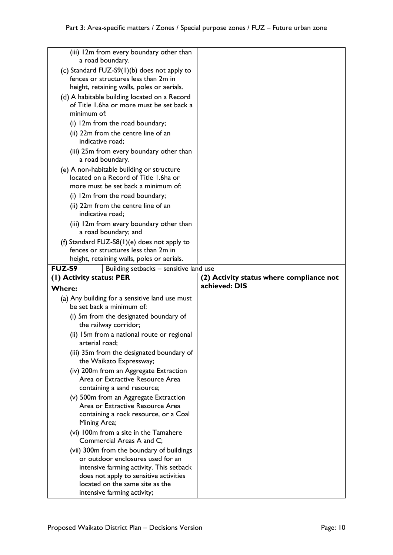| (iii) 12m from every boundary other than                                                  |                                          |
|-------------------------------------------------------------------------------------------|------------------------------------------|
| a road boundary.                                                                          |                                          |
| (c) Standard FUZ-S9(1)(b) does not apply to                                               |                                          |
| fences or structures less than 2m in                                                      |                                          |
| height, retaining walls, poles or aerials.                                                |                                          |
| (d) A habitable building located on a Record<br>of Title 1.6ha or more must be set back a |                                          |
| minimum of:                                                                               |                                          |
| (i) 12m from the road boundary;                                                           |                                          |
| (ii) 22m from the centre line of an<br>indicative road;                                   |                                          |
| (iii) 25m from every boundary other than<br>a road boundary.                              |                                          |
| (e) A non-habitable building or structure                                                 |                                          |
| located on a Record of Title 1.6ha or                                                     |                                          |
| more must be set back a minimum of:                                                       |                                          |
| (i) 12m from the road boundary;<br>(ii) 22m from the centre line of an                    |                                          |
| indicative road;                                                                          |                                          |
| (iii) 12m from every boundary other than                                                  |                                          |
| a road boundary; and                                                                      |                                          |
| (f) Standard FUZ-S8 $(1)(e)$ does not apply to                                            |                                          |
| fences or structures less than 2m in<br>height, retaining walls, poles or aerials.        |                                          |
| FUZ-S9<br>Building setbacks - sensitive land use                                          |                                          |
|                                                                                           |                                          |
| (1) Activity status: PER                                                                  | (2) Activity status where compliance not |
| <b>Where:</b>                                                                             | achieved: DIS                            |
| (a) Any building for a sensitive land use must                                            |                                          |
| be set back a minimum of:                                                                 |                                          |
| (i) 5m from the designated boundary of                                                    |                                          |
| the railway corridor;                                                                     |                                          |
| (ii) 15m from a national route or regional<br>arterial road;                              |                                          |
| (iii) 35m from the designated boundary of<br>the Waikato Expressway;                      |                                          |
| (iv) 200m from an Aggregate Extraction                                                    |                                          |
| Area or Extractive Resource Area                                                          |                                          |
| containing a sand resource;                                                               |                                          |
| (v) 500m from an Aggregate Extraction                                                     |                                          |
| Area or Extractive Resource Area                                                          |                                          |
| containing a rock resource, or a Coal<br>Mining Area;                                     |                                          |
| (vi) 100m from a site in the Tamahere                                                     |                                          |
| Commercial Areas A and C;                                                                 |                                          |
| (vii) 300m from the boundary of buildings                                                 |                                          |
| or outdoor enclosures used for an                                                         |                                          |
| intensive farming activity. This setback                                                  |                                          |
| does not apply to sensitive activities<br>located on the same site as the                 |                                          |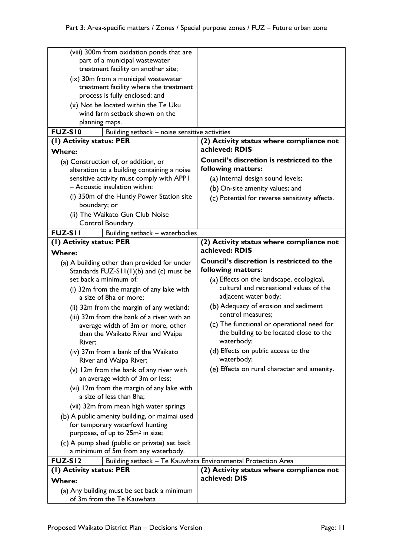| (viii) 300m from oxidation ponds that are                       |                                                              |
|-----------------------------------------------------------------|--------------------------------------------------------------|
| part of a municipal wastewater                                  |                                                              |
| treatment facility on another site;                             |                                                              |
| (ix) 30m from a municipal wastewater                            |                                                              |
| treatment facility where the treatment                          |                                                              |
| process is fully enclosed; and                                  |                                                              |
| (x) Not be located within the Te Uku                            |                                                              |
| wind farm setback shown on the                                  |                                                              |
| planning maps.                                                  |                                                              |
| <b>FUZ-S10</b><br>Building setback - noise sensitive activities |                                                              |
| (1) Activity status: PER                                        | (2) Activity status where compliance not                     |
| <b>Where:</b>                                                   | achieved: RDIS                                               |
|                                                                 |                                                              |
| (a) Construction of, or addition, or                            | <b>Council's discretion is restricted to the</b>             |
| alteration to a building containing a noise                     | following matters:                                           |
| sensitive activity must comply with APPI                        | (a) Internal design sound levels;                            |
| - Acoustic insulation within:                                   | (b) On-site amenity values; and                              |
| (i) 350m of the Huntly Power Station site                       | (c) Potential for reverse sensitivity effects.               |
| boundary; or                                                    |                                                              |
| (ii) The Waikato Gun Club Noise                                 |                                                              |
| Control Boundary.                                               |                                                              |
| <b>FUZ-SII</b><br>Building setback - waterbodies                |                                                              |
| (1) Activity status: PER                                        | (2) Activity status where compliance not                     |
|                                                                 | achieved: RDIS                                               |
| <b>Where:</b>                                                   |                                                              |
| (a) A building other than provided for under                    | Council's discretion is restricted to the                    |
| Standards $FUZ-S11(1)(b)$ and (c) must be                       | following matters:                                           |
| set back a minimum of:                                          | (a) Effects on the landscape, ecological,                    |
| (i) 32m from the margin of any lake with                        | cultural and recreational values of the                      |
|                                                                 |                                                              |
| a size of 8ha or more;                                          | adjacent water body;                                         |
|                                                                 | (b) Adequacy of erosion and sediment                         |
| (ii) 32m from the margin of any wetland;                        | control measures;                                            |
| (iii) 32m from the bank of a river with an                      |                                                              |
| average width of 3m or more, other                              | (c) The functional or operational need for                   |
| than the Waikato River and Waipa                                | the building to be located close to the                      |
| River;                                                          | waterbody;                                                   |
| (iv) 37m from a bank of the Waikato                             | (d) Effects on public access to the                          |
| River and Waipa River;                                          | waterbody;                                                   |
| (v) 12m from the bank of any river with                         | (e) Effects on rural character and amenity.                  |
| an average width of 3m or less;                                 |                                                              |
| (vi) 12m from the margin of any lake with                       |                                                              |
| a size of less than 8ha;                                        |                                                              |
| (vii) 32m from mean high water springs                          |                                                              |
| (b) A public amenity building, or maimai used                   |                                                              |
| for temporary waterfowl hunting                                 |                                                              |
| purposes, of up to 25m <sup>2</sup> in size;                    |                                                              |
|                                                                 |                                                              |
| (c) A pump shed (public or private) set back                    |                                                              |
| a minimum of 5m from any waterbody.                             |                                                              |
| <b>FUZ-SI2</b>                                                  | Building setback - Te Kauwhata Environmental Protection Area |
| (I) Activity status: PER                                        | (2) Activity status where compliance not                     |
| <b>Where:</b><br>(a) Any building must be set back a minimum    | achieved: DIS                                                |